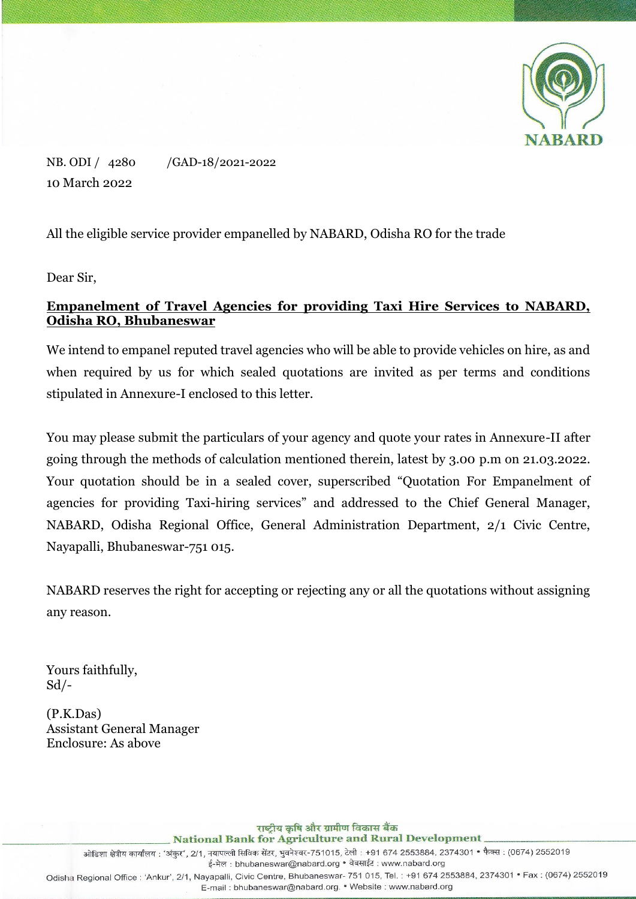

NB. ODI / 4280 /GAD-18/2021-2022 10 March 2022

All the eligible service provider empanelled by NABARD, Odisha RO for the trade

Dear Sir,

## **Empanelment of Travel Agencies for providing Taxi Hire Services to NABARD, Odisha RO, Bhubaneswar**

We intend to empanel reputed travel agencies who will be able to provide vehicles on hire, as and when required by us for which sealed quotations are invited as per terms and conditions stipulated in Annexure-I enclosed to this letter.

You may please submit the particulars of your agency and quote your rates in Annexure-II after going through the methods of calculation mentioned therein, latest by 3.00 p.m on 21.03.2022. Your quotation should be in a sealed cover, superscribed "Quotation For Empanelment of agencies for providing Taxi-hiring services" and addressed to the Chief General Manager, NABARD, Odisha Regional Office, General Administration Department, 2/1 Civic Centre, Nayapalli, Bhubaneswar-751 015.

NABARD reserves the right for accepting or rejecting any or all the quotations without assigning any reason.

Yours faithfully,  $Sd$  /-

(P.K.Das) Assistant General Manager Enclosure: As above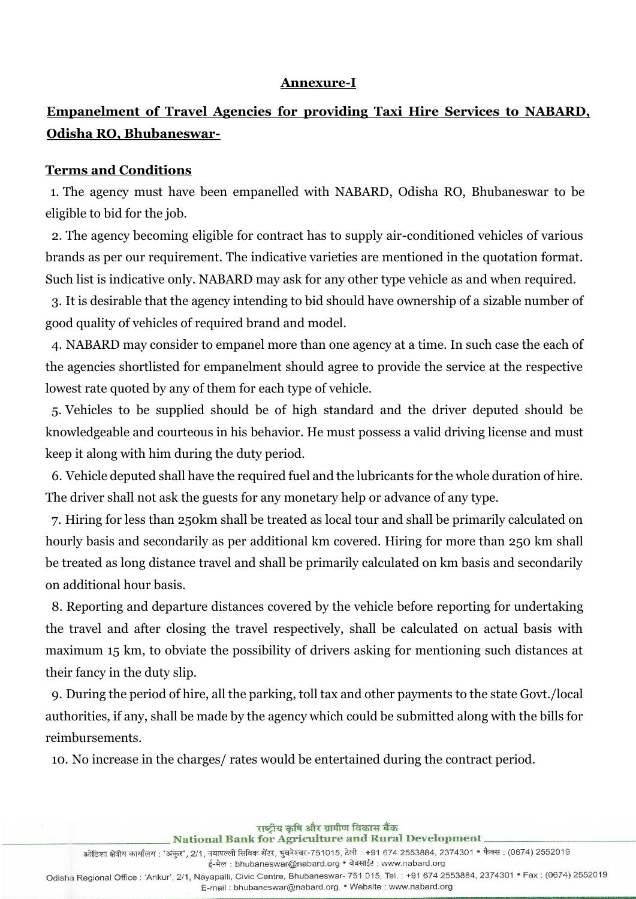#### **Annexure-I**

# **Empanelment of Travel Agencies for providing Taxi Hire Services to NABARD, Odisha RO, Bhubaneswar-**

#### **Terms and Conditions**

1. The agency must have been empanelled with NABARD, Odisha RO, Bhubaneswar to be eligible to bid for the job.

2. The agency becoming eligible for contract has to supply air-conditioned vehicles of various brands as per our requirement. The indicative varieties are mentioned in the quotation format. Such list is indicative only. NABARD may ask for any other type vehicle as and when required.

3. It is desirable that the agency intending to bid should have ownership of a sizable number of good quality of vehicles of required brand and model.

4. NABARD may consider to empanel more than one agency at a time. In such case the each of the agencies shortlisted for empanelment should agree to provide the service at the respective lowest rate quoted by any of them for each type of vehicle.

5. Vehicles to be supplied should be of high standard and the driver deputed should be knowledgeable and courteous in his behavior. He must possess a valid driving license and must keep it along with him during the duty period.

6. Vehicle deputed shall have the required fuel and the lubricants for the whole duration of hire. The driver shall not ask the guests for any monetary help or advance of any type.

7. Hiring for less than 250km shall be treated as local tour and shall be primarily calculated on hourly basis and secondarily as per additional km covered. Hiring for more than 250 km shall be treated as long distance travel and shall be primarily calculated on km basis and secondarily on additional hour basis.

8. Reporting and departure distances covered by the vehicle before reporting for undertaking the travel and after closing the travel respectively, shall be calculated on actual basis with maximum 15 km, to obviate the possibility of drivers asking for mentioning such distances at their fancy in the duty slip.

9. During the period of hire, all the parking, toll tax and other payments to the state Govt./local authorities, if any, shall be made by the agency which could be submitted along with the bills for reimbursements.

10. No increase in the charges/ rates would be entertained during the contract period.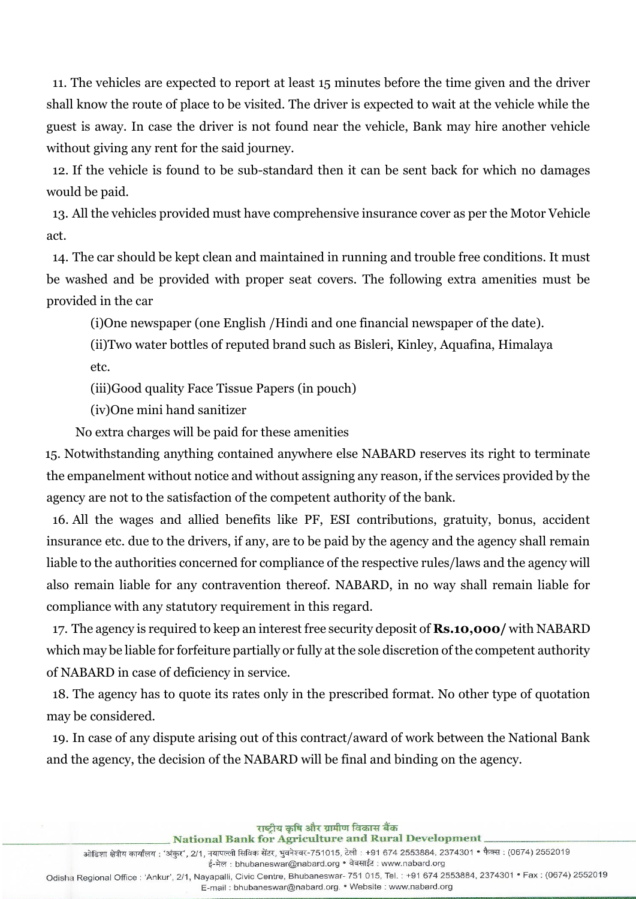11. The vehicles are expected to report at least 15 minutes before the time given and the driver shall know the route of place to be visited. The driver is expected to wait at the vehicle while the guest is away. In case the driver is not found near the vehicle, Bank may hire another vehicle without giving any rent for the said journey.

12. If the vehicle is found to be sub-standard then it can be sent back for which no damages would be paid.

13. All the vehicles provided must have comprehensive insurance cover as per the Motor Vehicle act.

14. The car should be kept clean and maintained in running and trouble free conditions. It must be washed and be provided with proper seat covers. The following extra amenities must be provided in the car

(i)One newspaper (one English /Hindi and one financial newspaper of the date).

(ii)Two water bottles of reputed brand such as Bisleri, Kinley, Aquafina, Himalaya etc.

(iii)Good quality Face Tissue Papers (in pouch)

(iv)One mini hand sanitizer

No extra charges will be paid for these amenities

15. Notwithstanding anything contained anywhere else NABARD reserves its right to terminate the empanelment without notice and without assigning any reason, if the services provided by the agency are not to the satisfaction of the competent authority of the bank.

16. All the wages and allied benefits like PF, ESI contributions, gratuity, bonus, accident insurance etc. due to the drivers, if any, are to be paid by the agency and the agency shall remain liable to the authorities concerned for compliance of the respective rules/laws and the agency will also remain liable for any contravention thereof. NABARD, in no way shall remain liable for compliance with any statutory requirement in this regard.

17. The agency is required to keep an interest free security deposit of **Rs.10,000/** with NABARD which may be liable for forfeiture partially or fully at the sole discretion of the competent authority of NABARD in case of deficiency in service.

18. The agency has to quote its rates only in the prescribed format. No other type of quotation may be considered.

19. In case of any dispute arising out of this contract/award of work between the National Bank and the agency, the decision of the NABARD will be final and binding on the agency.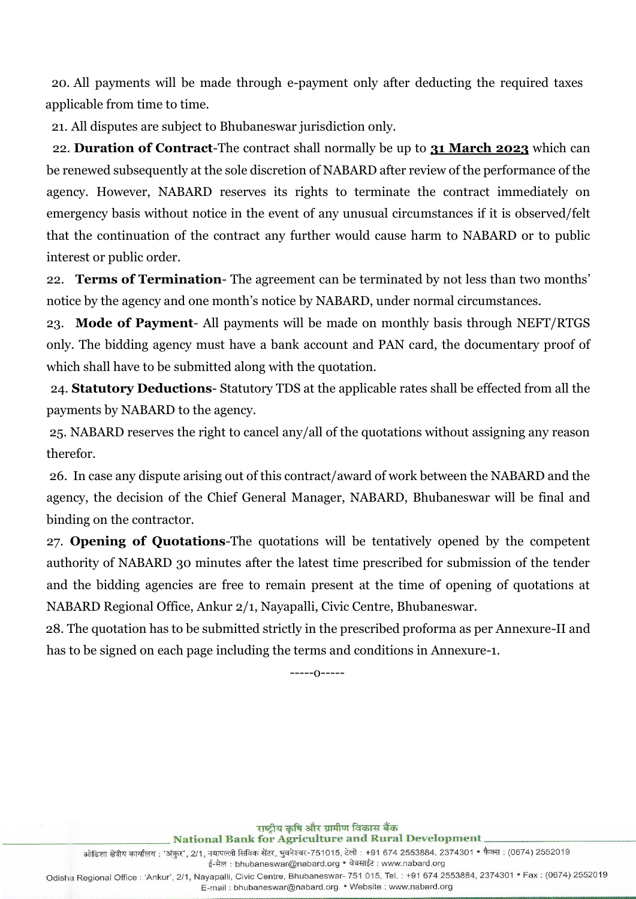20. All payments will be made through e-payment only after deducting the required taxes applicable from time to time.

21. All disputes are subject to Bhubaneswar jurisdiction only.

22. **Duration of Contract**-The contract shall normally be up to **31 March 2023** which can be renewed subsequently at the sole discretion of NABARD after review of the performance of the agency. However, NABARD reserves its rights to terminate the contract immediately on emergency basis without notice in the event of any unusual circumstances if it is observed/felt that the continuation of the contract any further would cause harm to NABARD or to public interest or public order.

22. **Terms of Termination**- The agreement can be terminated by not less than two months' notice by the agency and one month's notice by NABARD, under normal circumstances.

23. **Mode of Payment**- All payments will be made on monthly basis through NEFT/RTGS only. The bidding agency must have a bank account and PAN card, the documentary proof of which shall have to be submitted along with the quotation.

24. **Statutory Deductions**- Statutory TDS at the applicable rates shall be effected from all the payments by NABARD to the agency.

25. NABARD reserves the right to cancel any/all of the quotations without assigning any reason therefor.

26. In case any dispute arising out of this contract/award of work between the NABARD and the agency, the decision of the Chief General Manager, NABARD, Bhubaneswar will be final and binding on the contractor.

27. **Opening of Quotations**-The quotations will be tentatively opened by the competent authority of NABARD 30 minutes after the latest time prescribed for submission of the tender and the bidding agencies are free to remain present at the time of opening of quotations at NABARD Regional Office, Ankur 2/1, Nayapalli, Civic Centre, Bhubaneswar.

 28. The quotation has to be submitted strictly in the prescribed proforma as per Annexure-II and has to be signed on each page including the terms and conditions in Annexure-1.

-----o-----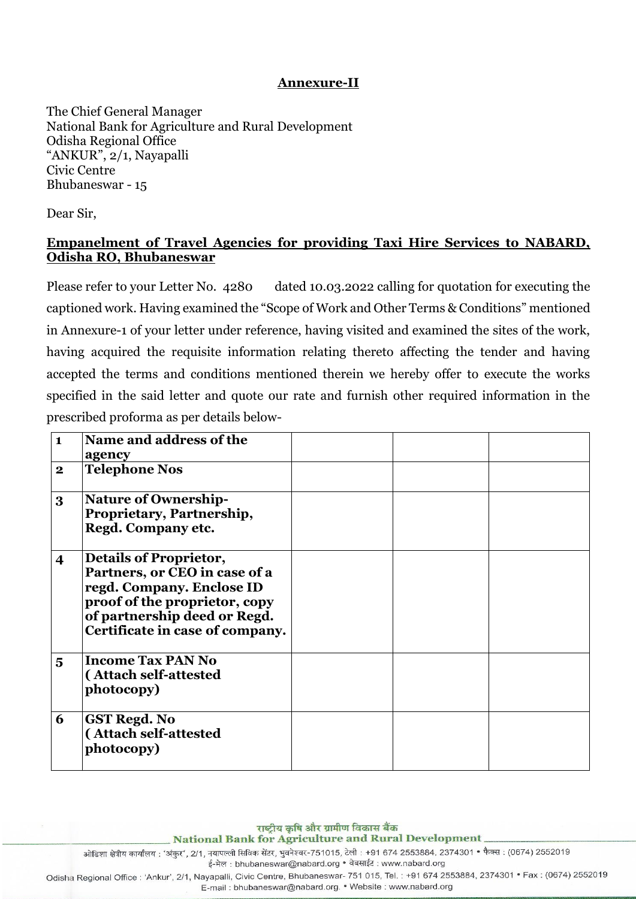### **Annexure-II**

The Chief General Manager National Bank for Agriculture and Rural Development Odisha Regional Office "ANKUR", 2/1, Nayapalli Civic Centre Bhubaneswar - 15

Dear Sir,

## **Empanelment of Travel Agencies for providing Taxi Hire Services to NABARD, Odisha RO, Bhubaneswar**

Please refer to your Letter No. 4280 dated 10.03.2022 calling for quotation for executing the captioned work. Having examined the "Scope of Work and Other Terms & Conditions" mentioned in Annexure-1 of your letter under reference, having visited and examined the sites of the work, having acquired the requisite information relating thereto affecting the tender and having accepted the terms and conditions mentioned therein we hereby offer to execute the works specified in the said letter and quote our rate and furnish other required information in the prescribed proforma as per details below-

| $\mathbf{1}$            | Name and address of the<br>agency                                                                                                                                                               |  |  |
|-------------------------|-------------------------------------------------------------------------------------------------------------------------------------------------------------------------------------------------|--|--|
| $\bf{2}$                | <b>Telephone Nos</b>                                                                                                                                                                            |  |  |
| 3                       | <b>Nature of Ownership-</b><br>Proprietary, Partnership,<br>Regd. Company etc.                                                                                                                  |  |  |
| $\overline{\mathbf{4}}$ | <b>Details of Proprietor,</b><br>Partners, or CEO in case of a<br>regd. Company. Enclose ID<br>proof of the proprietor, copy<br>of partnership deed or Regd.<br>Certificate in case of company. |  |  |
| $\overline{5}$          | <b>Income Tax PAN No</b><br>(Attach self-attested<br>photocopy)                                                                                                                                 |  |  |
| 6                       | <b>GST Regd. No</b><br>(Attach self-attested<br>photocopy)                                                                                                                                      |  |  |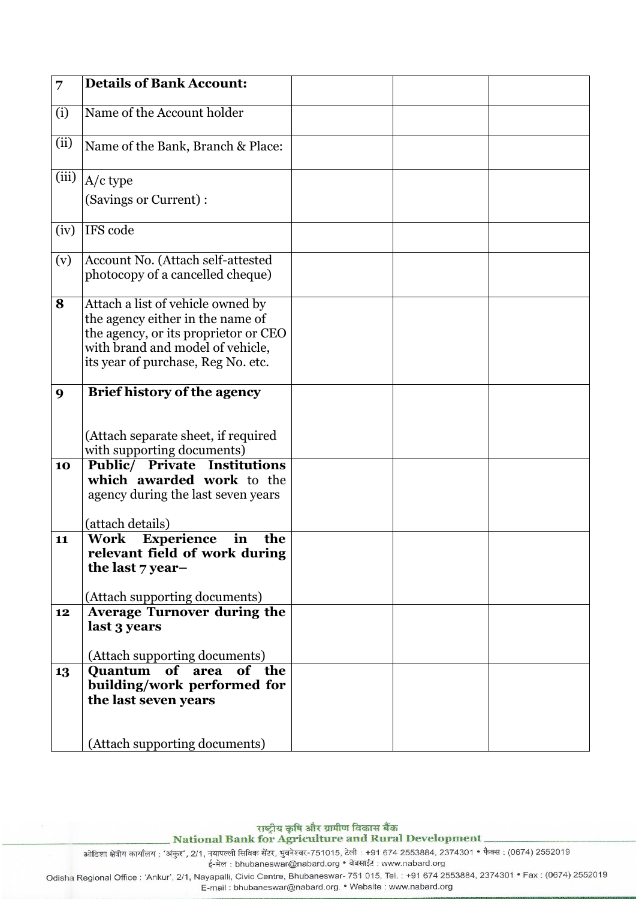| 7     | <b>Details of Bank Account:</b>                                                                                                                                                         |  |  |
|-------|-----------------------------------------------------------------------------------------------------------------------------------------------------------------------------------------|--|--|
| (i)   | Name of the Account holder                                                                                                                                                              |  |  |
| (ii)  | Name of the Bank, Branch & Place:                                                                                                                                                       |  |  |
| (iii) | $A/c$ type                                                                                                                                                                              |  |  |
|       | (Savings or Current):                                                                                                                                                                   |  |  |
| (iv)  | IFS code                                                                                                                                                                                |  |  |
| (v)   | Account No. (Attach self-attested<br>photocopy of a cancelled cheque)                                                                                                                   |  |  |
| 8     | Attach a list of vehicle owned by<br>the agency either in the name of<br>the agency, or its proprietor or CEO<br>with brand and model of vehicle,<br>its year of purchase, Reg No. etc. |  |  |
| 9     | Brief history of the agency<br>(Attach separate sheet, if required<br>with supporting documents)                                                                                        |  |  |
| 10    | <b>Public/ Private Institutions</b><br>which awarded work to the<br>agency during the last seven years<br>(attach details)                                                              |  |  |
| 11    | Work Experience<br>in<br>the<br>relevant field of work during<br>the last 7 year-<br>(Attach supporting documents)                                                                      |  |  |
| 12    | <b>Average Turnover during the</b><br>last 3 years<br>(Attach supporting documents)                                                                                                     |  |  |
| 13    | of the<br><b>Ouantum</b><br>of area<br>building/work performed for<br>the last seven years                                                                                              |  |  |
|       | (Attach supporting documents)                                                                                                                                                           |  |  |

ई-मेल : bhubaneswar@nabard.org • वेबसाईट : www.nabard.org

Odisha Regional Office : 'Ankur', 2/1, Nayapalli, Civic Centre, Bhubaneswar- 751 015, Tel. : +91 674 2553884, 2374301 • Fax : (0674) 2552019

E-mail: bhubaneswar@nabard.org. • Website: www.nabard.org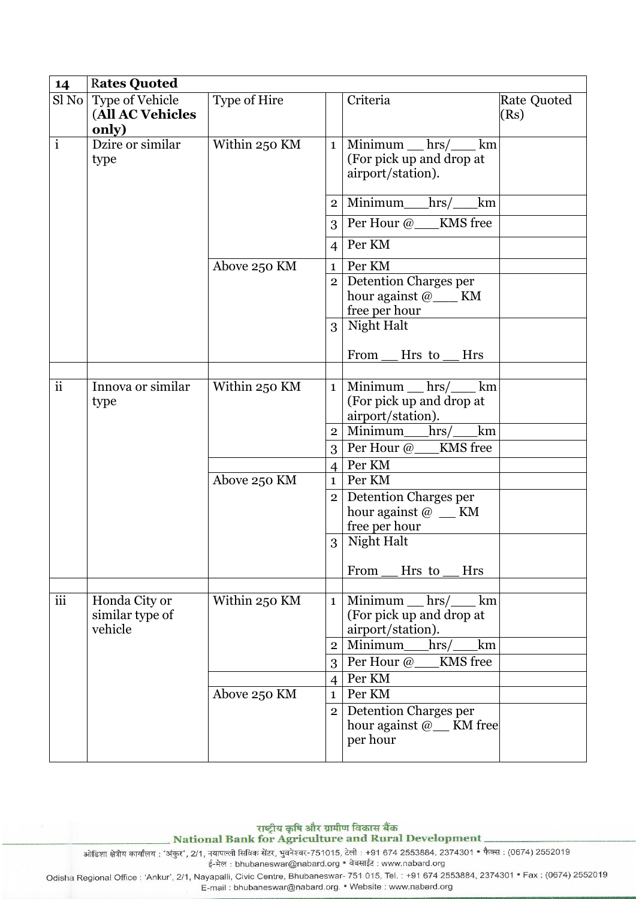| 14            | <b>Rates Quoted</b>                          |               |                                 |                                                                                                            |                            |
|---------------|----------------------------------------------|---------------|---------------------------------|------------------------------------------------------------------------------------------------------------|----------------------------|
| Sl No         | Type of Vehicle<br>(All AC Vehicles<br>only) | Type of Hire  |                                 | Criteria                                                                                                   | <b>Rate Quoted</b><br>(Rs) |
| $\mathbf{i}$  | Dzire or similar<br>type                     | Within 250 KM | 1                               | Minimum $hrs$ / km<br>(For pick up and drop at<br>airport/station).                                        |                            |
|               |                                              |               | 2 <sup>1</sup>                  | Minimum_hrs/<br>km                                                                                         |                            |
|               |                                              |               | $\mathcal{E}$                   | Per Hour @ KMS free                                                                                        |                            |
|               |                                              |               | $\overline{4}$                  | Per KM                                                                                                     |                            |
|               |                                              | Above 250 KM  | $\mathbf{1}$                    | Per KM                                                                                                     |                            |
|               |                                              |               | 2 <sub>1</sub>                  | Detention Charges per<br>hour against @____ KM<br>free per hour                                            |                            |
|               |                                              |               |                                 | 3 Night Halt<br>From<br>Hrs to<br><b>Hrs</b>                                                               |                            |
|               |                                              |               |                                 |                                                                                                            |                            |
| $\mathbf{ii}$ | Innova or similar<br>type                    | Within 250 KM |                                 | $Minimum$ hrs $/$ km<br>1 <sup>1</sup><br>(For pick up and drop at<br>airport/station).<br>Minimum_hrs/_km |                            |
|               |                                              |               | 2 <sup>1</sup><br>3             | KMS free<br>Per Hour @                                                                                     |                            |
|               |                                              |               | $\overline{4}$                  | Per KM                                                                                                     |                            |
|               |                                              | Above 250 KM  | $\mathbf{1}$                    | Per KM                                                                                                     |                            |
|               |                                              |               | 2 <sup>1</sup>                  | Detention Charges per<br>hour against $\omega$ _ KM<br>free per hour                                       |                            |
|               |                                              |               | 3 <sup>1</sup>                  | Night Halt                                                                                                 |                            |
|               |                                              |               |                                 | Hrs to<br>From<br><b>Hrs</b>                                                                               |                            |
| iii           | Honda City or<br>similar type of<br>vehicle  | Within 250 KM | $1 \mid$<br>$\overline{2}$      | $Minimum$ hrs $/$ km<br>(For pick up and drop at<br>airport/station).<br>Minimum<br>hrs/<br>km<br>KMS free |                            |
|               |                                              |               | 3 <sup>1</sup>                  | Per Hour @                                                                                                 |                            |
|               |                                              | Above 250 KM  | $\vert 4 \vert$<br>$\mathbf{1}$ | Per KM<br>Per KM                                                                                           |                            |
|               |                                              |               | 2 <sup>1</sup>                  | Detention Charges per<br>hour against @ <sub>__</sub> KM free<br>per hour                                  |                            |